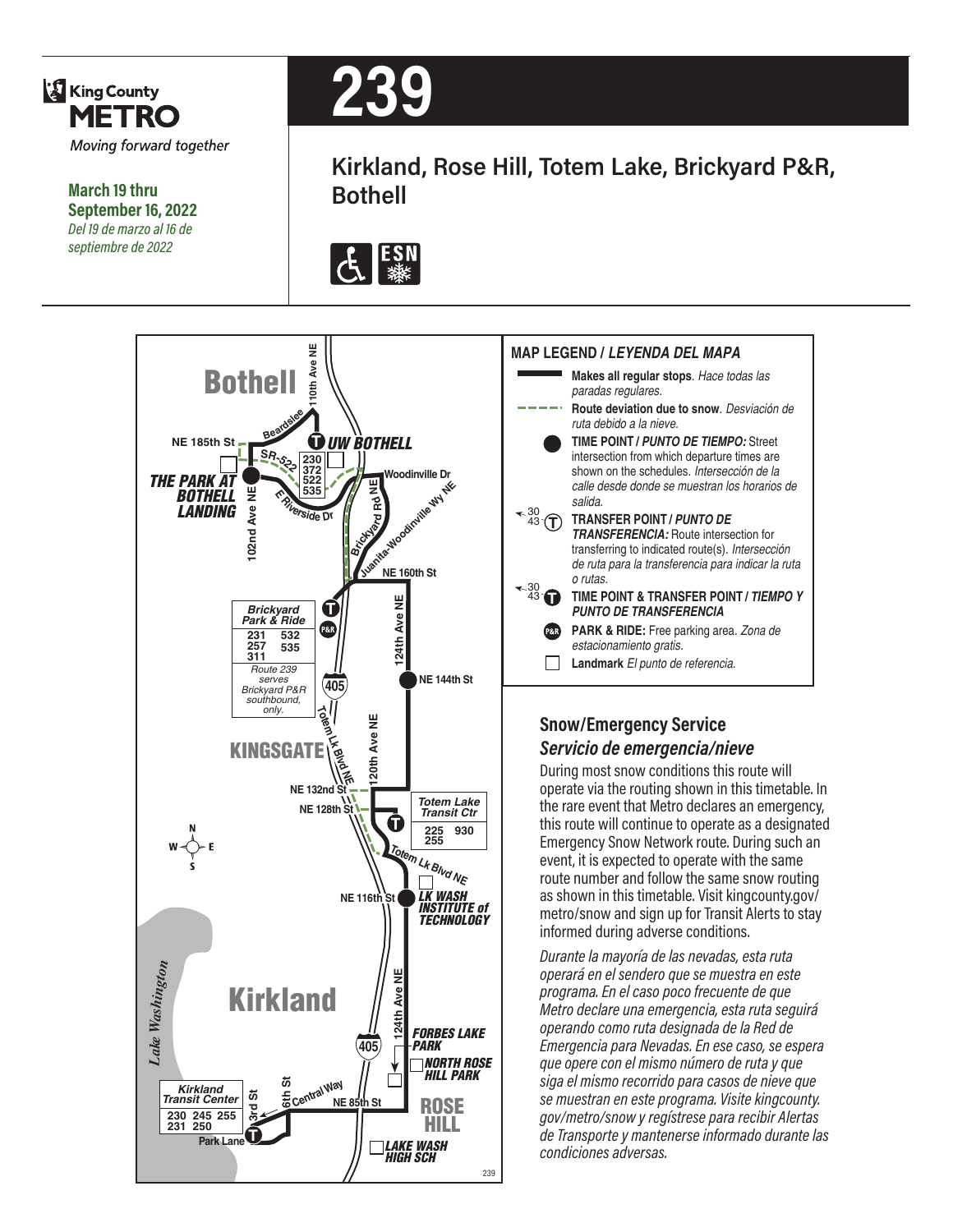

**March 19 thru September 16, 2022** *Del 19 de marzo al 16 de septiembre de 2022*



**Kirkland, Rose Hill, Totem Lake, Brickyard P&R, Bothell**







#### **Snow/Emergency Service** *Servicio de emergencia/nieve*

During most snow conditions this route will operate via the routing shown in this timetable. In the rare event that Metro declares an emergency, this route will continue to operate as a designated Emergency Snow Network route. During such an event, it is expected to operate with the same route number and follow the same snow routing as shown in this timetable. Visit kingcounty.gov/ metro/snow and sign up for Transit Alerts to stay informed during adverse conditions.

*Durante la mayoría de las nevadas, esta ruta operará en el sendero que se muestra en este programa. En el caso poco frecuente de que Metro declare una emergencia, esta ruta seguirá operando como ruta designada de la Red de Emergencia para Nevadas. En ese caso, se espera que opere con el mismo número de ruta y que siga el mismo recorrido para casos de nieve que se muestran en este programa. Visite kingcounty. gov/metro/snow y regístrese para recibir Alertas de Transporte y mantenerse informado durante las condiciones adversas.*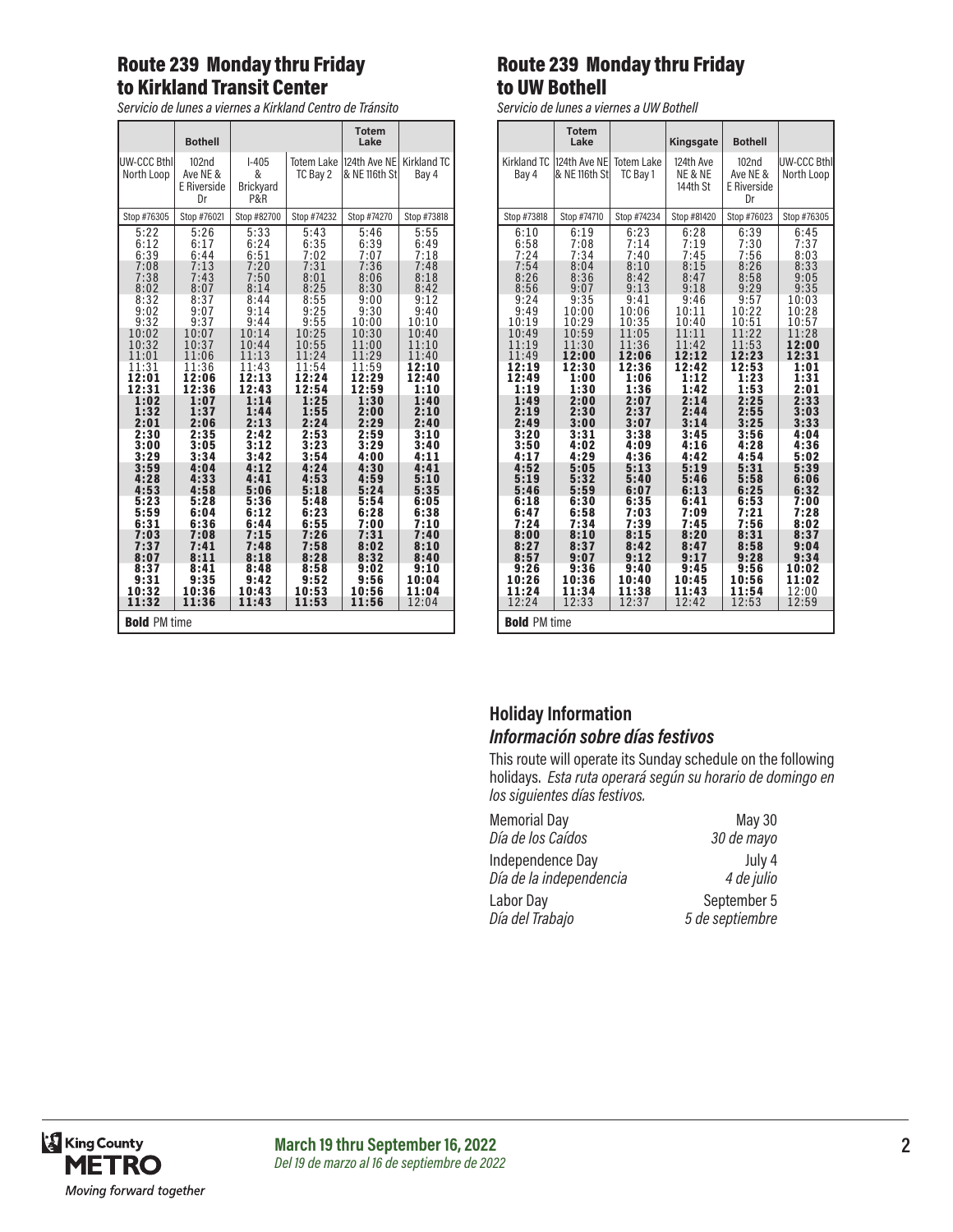#### Route 239 Monday thru Friday to Kirkland Transit Center

*Servicio de lunes a viernes a Kirkland Centro de Tránsito*

|                                  | <b>Bothell</b>                                     |                                         |                               | <b>Totem</b><br>Lake           |                             |
|----------------------------------|----------------------------------------------------|-----------------------------------------|-------------------------------|--------------------------------|-----------------------------|
| <b>UW-CCC Bthl</b><br>North Loop | 102 <sub>nd</sub><br>Ave NE &<br>E Riverside<br>Dr | $I-405$<br>&<br><b>Brickyard</b><br>P&R | <b>Totem Lake</b><br>TC Bay 2 | 124th Ave NEI<br>& NE 116th St | <b>Kirkland TC</b><br>Bay 4 |
| Stop #76305                      | Stop #76021                                        | Stop #82700                             | Stop #74232                   | Stop #74270                    | Stop #73818                 |
| 5:22                             | 5:26                                               | 5:33                                    | 5:43                          | 5:46                           | 5:55                        |
| 6:12                             | 6:17                                               | 6:24                                    | 6:35                          | 6:39                           | 6:49                        |
| 6:39                             | 6:44                                               | 6:51                                    | 7:02                          | 7:07                           | 7:18                        |
| 7:08                             | 7:13                                               | 7:20                                    | 7:31                          | 7:36                           | 7:48                        |
| 7:38                             | 7:43                                               | 7:50                                    | 8:01                          | 8:06                           | 8:18                        |
| 8:02                             | 8:07                                               | 8:14                                    | 8:25                          | 8:30                           | 8:42                        |
| 8:32                             | 8:37                                               | 8:44                                    | 8:55                          | 9:00                           | 9:12                        |
| 9:02                             | 9:07                                               | 9:14                                    | 9:25                          | 9:30                           | 9:40                        |
| 9:32                             | 9:37                                               | 9:44                                    | 9:55                          | 10:00                          | 10:10                       |
| 10:02                            | 10:07                                              | 10:14                                   | 10:25                         | 10:30                          | 10:40                       |
| 10:32                            | 10:37                                              | 10:44                                   | 10:55                         | 11:00                          | 11:10                       |
| 11:01                            | 11:06                                              | 11:13                                   | 11:24                         | 11:29                          | 11:40                       |
| 11:31                            | 11:36                                              | 11:43                                   | 11:54                         | 11:59                          | 12:10                       |
| 12:01                            | 12:06                                              | 12:13                                   | 12:24                         | 12:29                          | 12:40                       |
| 12:31                            | 12:36                                              | 12:43                                   | 12:54                         | 12:59                          | 1:10                        |
| 1:02                             | 1:07                                               | 1:14                                    | 1:25                          | 1:30                           | 1:40                        |
| 1:32                             | 1:37                                               | 1:44                                    | 1:55                          | 2:00                           | 2:10                        |
| 2:01                             | 2:06                                               | 2:13                                    | 2:24                          | 2:29                           | 2:40                        |
| 2:30                             | 2:35                                               | 2:42                                    | 2:53                          | 2:59                           | 3:10                        |
| 3:00                             | 3:05                                               | 3:12                                    | 3:23                          | 3:29                           | 3:40                        |
| 3:29                             | 3:34                                               | 3:42                                    | 3:54                          | 4:00                           | 4:11                        |
| 3:59                             | 4:04                                               | 4:12                                    | 4:24                          | 4:30                           | 4:41                        |
| 4:28                             | 4:33                                               | 4:41                                    | 4:53                          | 4:59                           | 5:10                        |
| 4:53                             | 4:58                                               | 5:06                                    | 5:18                          | 5:24                           | 5:35                        |
| 5:23                             | 5:28                                               | 5:36                                    | 5:48                          | 5:54                           | 6:05                        |
| 5:59                             | 6:04                                               | 6:12                                    | 6:23                          | 6:28                           | 6:38                        |
| 6:31                             | 6:36                                               | 6:44                                    | 6:55                          | 7:00                           | 7:10                        |
| 7:03                             | 7:08                                               | 7:15                                    | 7:26                          | 7:31                           | 7:40                        |
| 7:37                             | 7:41                                               | 7:48                                    | 7:58                          | 8:02                           | 8:10                        |
| 8:07                             | 8:11                                               | 8:18                                    | 8:28                          | 8:32                           | 8:40                        |
| 8:37                             | 8:41                                               | 8:48                                    | 8:58                          | 9:02                           | 9:10                        |
| 9:31                             | 9:35                                               | 9:42                                    | 9:52                          | 9:56                           | 10:04                       |
| 10:32                            | 10:36                                              | 10:43                                   | 10:53                         | 10:56                          | 11:04                       |
| 11:32                            | 11:36                                              | 11:43                                   | 11:53                         | 11:56                          | 12:04                       |
| <b>Bold PM time</b>              |                                                    |                                         |                               |                                |                             |

#### Route 239 Monday thru Friday to UW Bothell

*Servicio de lunes a viernes a UW Bothell*

|                      | <b>Totem</b><br>Lake          |                               | Kingsgate                        | <b>Bothell</b>                                     |                           |
|----------------------|-------------------------------|-------------------------------|----------------------------------|----------------------------------------------------|---------------------------|
| Kirkland TC<br>Bay 4 | 124th Ave NE<br>& NE 116th St | <b>Totem Lake</b><br>TC Bav 1 | 124th Ave<br>NE & NE<br>144th St | 102 <sub>nd</sub><br>Ave NE &<br>E Riverside<br>Dr | UW-CCC Bthl<br>North Loop |
| Stop #73818          | Stop #74710                   | Stop #74234                   | Stop #81420                      | Stop #76023                                        | Stop #76305               |
| 6:10                 | 6:19                          | 6:23                          | 6:28                             | 6:39                                               | 6:45                      |
| 6:58                 | 7:08                          | 7:14                          | 7:19                             | 7:30                                               | 7:37                      |
| 7:24                 | 7:34                          | 7:40                          | 7:45                             | 7:56                                               | 8:03                      |
| 7:54                 | 8:04                          | 8:10                          | 8:15                             | 8:26                                               | 8:33                      |
| 8:26                 | 8:36                          | 8:42                          | 8:47                             | 8:58                                               | 9:05                      |
| 8:56                 | 9:07                          | 9:13                          | 9:18                             | 9:29                                               | 9:35                      |
| 9:24                 | 9:35                          | 9:41                          | 9:46                             | 9:57                                               | 10:03                     |
| 9:49                 | 10:00                         | 10:06                         | 10:11                            | 10:22                                              | 10:28                     |
| 10:19                | 10:29                         | 10:35                         | 10:40                            | 10:51                                              | 10:57                     |
| 10:49                | 10:59                         | 11:05                         | 11:11                            | 11:22                                              | 11:28                     |
| 11:19                | 11:30                         | 11:36                         | 11:42                            | 11:53                                              | 12:00                     |
| 11:49                | 12:00                         | 12:06                         | 12:12                            | 12:23                                              | 12:31                     |
| 12:19                | 12:30                         | 12:36                         | 12:42                            | 12:53                                              | 1:01                      |
| 12:49                | 1:00                          | 1:06                          | 1:12                             | 1:23                                               | 1:31                      |
| 1:19                 | 1:30                          | 1:36                          | 1:42                             | 1:53                                               | 2:01                      |
| 1:49                 | 2:00                          | 2:07                          | 2:14                             | 2:25                                               | 2:33                      |
| 2:19                 | 2:30                          | 2:37                          | 2:44                             | 2:55                                               | 3:03                      |
| 2:49                 | 3:00                          | 3:07                          | 3:14                             | 3:25                                               | 3:33                      |
| 3:20                 | 3:31                          | 3:38                          | 3:45                             | 3:56                                               | 4:04                      |
| 3:50                 | 4:02                          | 4:09                          | 4:16                             | 4:28                                               | 4:36                      |
| 4:17                 | 4:29                          | 4:36                          | 4:42                             | 4:54                                               | 5:02                      |
| 4:52                 | 5:05                          | 5:13                          | 5:19                             | 5:31                                               | 5:39                      |
| 5:19                 | 5:32                          | 5:40                          | 5:46                             | 5:58                                               | 6:06                      |
| 5:46                 | 5:59                          | 6:07                          | 6:13                             | 6:25                                               | 6:32                      |
| 6:18                 | 6:30                          | 6:35                          | 6:41                             | 6:53                                               | 7:00                      |
| 6:47                 | 6:58                          | 7:03                          | 7:09                             | 7:21                                               | 7:28                      |
| 7:24                 | 7:34                          | 7:39                          | 7:45                             | 7:56                                               | 8:02                      |
| 8:00                 | 8:10                          | 8:15                          | 8:20                             | 8:31                                               | 8:37                      |
| 8:27                 | 8:37                          | 8:42                          | 8:47                             | 8:58                                               | 9:04                      |
| 8:57                 | 9:07                          | 9:12                          | 9:17                             | 9:28                                               | 9:34                      |
| 9:26                 | 9:36                          | 9:40                          | 9:45                             | 9:56                                               | 10:02                     |
| 10:26                | 10:36                         | 10:40                         | 10:45                            | 10:56                                              | 11:02                     |
| 11:24                | 11:34                         | 11:38                         | 11:43                            | 11:54                                              | 12:00                     |
| 12:24                | 12:33                         | 12:37                         | 12:42                            | 12:53                                              | 12:59                     |
| <b>Bold PM time</b>  |                               |                               |                                  |                                                    |                           |

#### **Holiday Information** *Información sobre días festivos*

This route will operate its Sunday schedule on the following holidays. *Esta ruta operará según su horario de domingo en los siguientes días festivos.*

| <b>Memorial Day</b>     | <b>May 30</b>   |
|-------------------------|-----------------|
| Día de los Caídos       | 30 de mayo      |
| Independence Day        | July 4          |
| Día de la independencia | 4 de julio      |
| Labor Day               | September 5     |
| Día del Trabajo         | 5 de septiembre |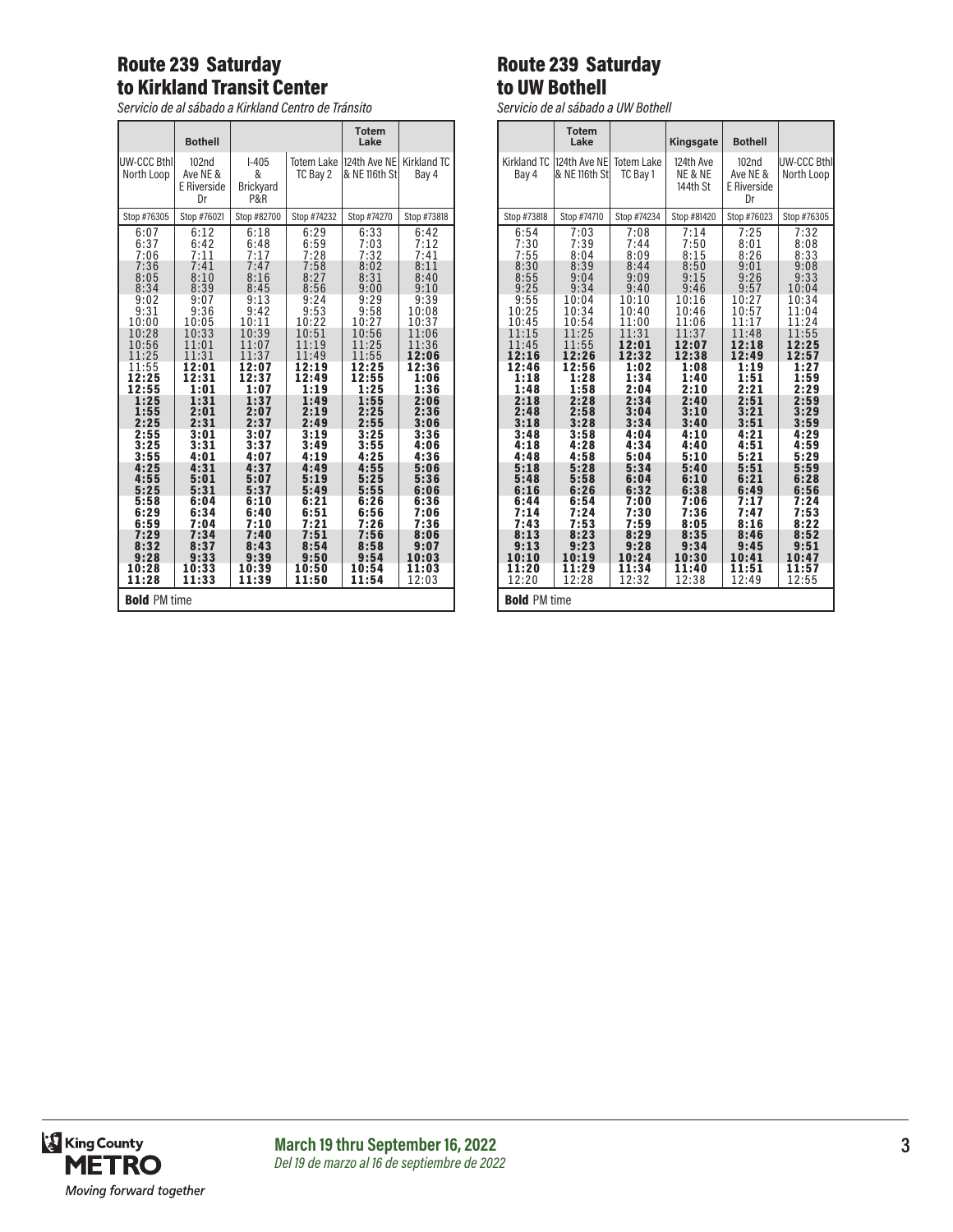# Route 239 Saturday to Kirkland Transit Center

*Servicio de al sábado a Kirkland Centro de Tránsito*

|                           | <b>Bothell</b>                         |                                                    |                               | <b>Totem</b><br>Lake          |                      |  |
|---------------------------|----------------------------------------|----------------------------------------------------|-------------------------------|-------------------------------|----------------------|--|
| UW-CCC Bthl<br>North Loop | 102nd<br>Ave NE &<br>E Riverside<br>Dr | $1-405$<br>&<br><b>Brickyard</b><br><b>P&amp;R</b> | <b>Totem Lake</b><br>TC Bay 2 | 124th Ave NE<br>& NE 116th St | Kirkland TC<br>Bay 4 |  |
| Stop #76305               | Stop #76021                            | Stop #82700                                        | Stop #74232                   | Stop #74270                   | Stop #73818          |  |
| 6:07<br>6:37<br>7:06      | 6:12<br>6:42<br>7:11                   | 6:18<br>6:48<br>7:17                               | 6:29<br>$6:59$<br>7:28        | 6:33<br>7:03<br>7:32          | 6:42<br>7:12<br>7:41 |  |
| 7:36                      | 7:41                                   | 7:47                                               | 7:58                          | 8:02                          | 8:11                 |  |
| 8:05                      | 8:10                                   | 8:16                                               | 8:27                          | 8:31                          | 8:40                 |  |
| 8:34                      | 8:39                                   | 8:45                                               | 8:56                          | 9:00                          | 9:10                 |  |
| 9:02                      | 9:07                                   | 9:13                                               | 9:24                          | 9:29                          | 9:39                 |  |
| 9:31                      | 9:36                                   | 9:42                                               | 9:53                          | 9:58                          | 10:08                |  |
| 10:00                     | 10:05                                  | 10:11                                              | 10:22                         | 10:27                         | 10:37                |  |
| 10:28                     | 10:33                                  | 10:39                                              | 10:51                         | 10:56                         | 11:06                |  |
| 10:56                     | 11:01                                  | 11:07                                              | 11:19                         | 11:25                         | 11:36                |  |
| 11:25                     | 11:31                                  | 11:37                                              | 11:49                         | 11:55                         | 12:06                |  |
| 11:55                     | 12:01                                  | 12:07                                              | 12:19                         | 12:25                         | 12:36                |  |
| 12:25                     | 12:31                                  | 12:37                                              | 12:49                         | 12:55                         | 1:06                 |  |
| 12:55                     | 1:01                                   | 1:07                                               | 1:19                          | 1:25                          | 1:36                 |  |
| 1:25                      | 1:31                                   | 1:37                                               | 1:49                          | 1:55                          | 2:06                 |  |
| 1:55                      | 2:01                                   | 2:07                                               | 2:19                          | 2:25                          | 2:36                 |  |
| 2:25                      | 2:31                                   | 2:37                                               | 2:49                          | 2:55                          | 3:06                 |  |
| 2:55                      | 3:01                                   | 3:07                                               | 3:19                          | 3:25                          | 3:36                 |  |
| 3:25                      | 3:31                                   | 3:37                                               | 3:49                          | 3:55                          | 4:06                 |  |
| 3:55                      | 4:01                                   | 4:07                                               | 4:19                          | 4:25                          | 4:36                 |  |
| 4:25                      | 4:31                                   | 4:37                                               | 4:49                          | 4:55                          | 5:06                 |  |
| 4:55                      | 5:01                                   | 5:07                                               | 5:19                          | 5:25                          | 5:36                 |  |
| 5:25                      | 5:31                                   | 5:37                                               | 5:49                          | 5:55                          | 6:06                 |  |
| 5:58                      | 6:04                                   | 6:10                                               | 6:21                          | 6:26                          | 6:36                 |  |
| 6:29                      | 6:34                                   | 6:40                                               | 6:51                          | 6:56                          | 7:06                 |  |
| 6:59                      | 7:04                                   | 7:10                                               | 7:21                          | 7:26                          | 7:36                 |  |
| 7:29                      | 7:34                                   | 7:40                                               | 7:51                          | 7:56                          | 8:06                 |  |
| 8:32                      | 8:37                                   | 8:43                                               | 8:54                          | 8:58                          | 9:07                 |  |
| 9:28                      | 9:33                                   | 9:39                                               | 9:50                          | 9:54                          | 10:03                |  |
| 10:28                     | 10:33                                  | 10:39                                              | 10:50                         | 10:54                         | 11:03                |  |
| 11:28                     | 11:33                                  | 11:39                                              | 11:50                         | 11:54                         | 12:03                |  |
| <b>Bold PM time</b>       |                                        |                                                    |                               |                               |                      |  |

# Route 239 Saturday to UW Bothell

*Servicio de al sábado a UW Bothell*

|                                                                                                                                                                                                                    | <b>Totem</b><br>Lake                                                                                                                                                                                                |                                                                                                                                                                                                                    | Kingsgate                                                                                                                                                                                                          | <b>Bothell</b>                                                                                                                                                                                                     |                                                                                                                                                                                                                     |
|--------------------------------------------------------------------------------------------------------------------------------------------------------------------------------------------------------------------|---------------------------------------------------------------------------------------------------------------------------------------------------------------------------------------------------------------------|--------------------------------------------------------------------------------------------------------------------------------------------------------------------------------------------------------------------|--------------------------------------------------------------------------------------------------------------------------------------------------------------------------------------------------------------------|--------------------------------------------------------------------------------------------------------------------------------------------------------------------------------------------------------------------|---------------------------------------------------------------------------------------------------------------------------------------------------------------------------------------------------------------------|
| <b>Kirkland TC</b><br>Bay 4                                                                                                                                                                                        | 124th Ave NE<br>& NE 116th St                                                                                                                                                                                       | <b>Totem Lake</b><br>TC Bav 1                                                                                                                                                                                      | 124th Ave<br>NE & NE<br>144th St                                                                                                                                                                                   | 102 <sub>nd</sub><br>Ave NE &<br>E Riverside<br>Dr                                                                                                                                                                 | UW-CCC Bthl<br>North Loop                                                                                                                                                                                           |
| Stop #73818                                                                                                                                                                                                        | Stop #74710                                                                                                                                                                                                         | Stop #74234                                                                                                                                                                                                        | Stop #81420                                                                                                                                                                                                        | Stop #76023                                                                                                                                                                                                        | Stop #76305                                                                                                                                                                                                         |
| 6:54<br>7:30<br>7:55<br>8:30<br>8:55<br>9:25<br>9:55<br>10:25<br>10:45<br>11:15<br>11:45<br>12:16<br>12:46<br>1:18<br>1:48<br>2:18<br>2:48<br>3:18<br>3:48<br>4:18<br>4:48<br>5:18<br>5:48<br>6:16<br>6:44<br>7:14 | 7:03<br>7:39<br>8:04<br>8:39<br>9:04<br>9:34<br>10:04<br>10:34<br>10:54<br>11:25<br>11:55<br>12:26<br>12:56<br>1:28<br>1:58<br>2:28<br>2:58<br>3:28<br>3:58<br>4:28<br>4:58<br>5:28<br>5:58<br>6:26<br>6:54<br>7:24 | 7:08<br>7:44<br>8:09<br>8:44<br>9:09<br>9:40<br>10:10<br>10:40<br>11:00<br>11:31<br>12:01<br>12:32<br>1:02<br>1:34<br>2:04<br>2:34<br>3:04<br>3:34<br>4:04<br>4:34<br>5:04<br>5:34<br>6:04<br>6:32<br>7:00<br>7:30 | 7:14<br>7:50<br>8:15<br>8:50<br>9:15<br>9:46<br>10:16<br>10:46<br>11:06<br>11:37<br>12:07<br>12:38<br>1:08<br>1:40<br>2:10<br>2:40<br>3:10<br>3:40<br>4:10<br>4:40<br>5:10<br>5:40<br>6:10<br>6:38<br>7:06<br>7:36 | 7:25<br>8:01<br>8:26<br>9:01<br>9:26<br>9:57<br>10:27<br>10:57<br>11:17<br>11:48<br>12:18<br>12:49<br>1:19<br>1:51<br>2:21<br>2:51<br>3:21<br>3:51<br>4:21<br>4:51<br>5:21<br>5:51<br>6:21<br>6:49<br>7:17<br>7:47 | 7:32<br>8:08<br>8:33<br>9:08<br>9:33<br>10:04<br>10:34<br>11:04<br>11:24<br>11:55<br>12:25<br>12:57<br>1:27<br>1:59<br>2:29<br>2:59<br>3:29<br>3:59<br>4:29<br>4:59<br>5:29<br>5:59<br>6:28<br>6:56<br>7:24<br>7:53 |
| 7:43<br>8:13<br>9:13<br>10:10<br>11:20<br>12:20                                                                                                                                                                    | 7:53<br>8:23<br>9:23<br>10:19<br>11:29<br>12:28                                                                                                                                                                     | 7:59<br>8:29<br>9:28<br>10:24<br>11:34<br>12:32                                                                                                                                                                    | 8:05<br>8:35<br>9:34<br>10:30<br>11:40<br>12:38                                                                                                                                                                    | 8:16<br>8:46<br>9:45<br>10:41<br>11:51<br>12:49                                                                                                                                                                    | 8:22<br>8:52<br>9:51<br>10:47<br>11:57<br>12:55                                                                                                                                                                     |
| <b>Bold PM time</b>                                                                                                                                                                                                |                                                                                                                                                                                                                     |                                                                                                                                                                                                                    |                                                                                                                                                                                                                    |                                                                                                                                                                                                                    |                                                                                                                                                                                                                     |